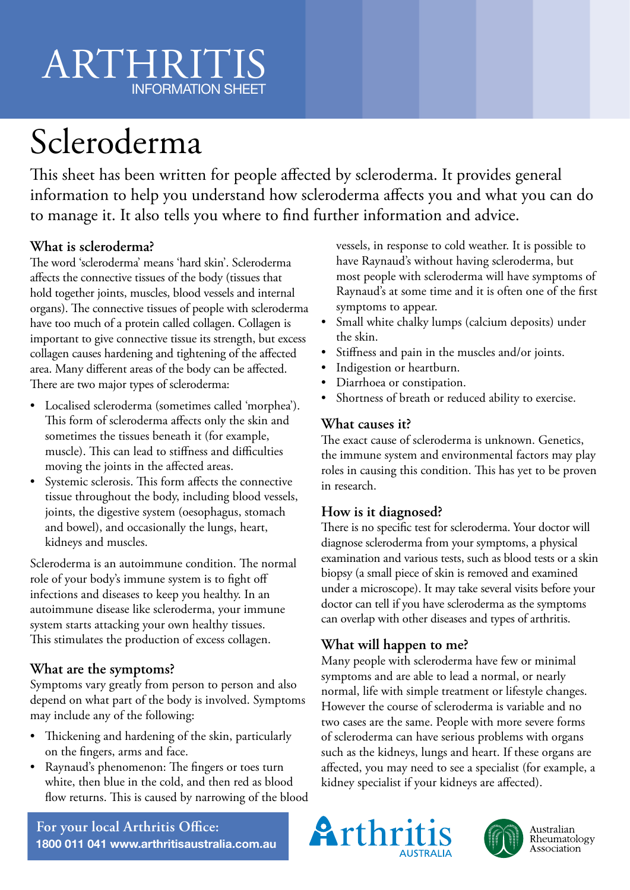# ARTHRITIS INFORMATION SHEET

# Scleroderma

This sheet has been written for people affected by scleroderma. It provides general information to help you understand how scleroderma affects you and what you can do to manage it. It also tells you where to find further information and advice.

# **What is scleroderma?**

The word 'scleroderma' means 'hard skin'. Scleroderma affects the connective tissues of the body (tissues that hold together joints, muscles, blood vessels and internal organs). The connective tissues of people with scleroderma have too much of a protein called collagen. Collagen is important to give connective tissue its strength, but excess collagen causes hardening and tightening of the affected area. Many different areas of the body can be affected. There are two major types of scleroderma:

- Localised scleroderma (sometimes called 'morphea'). This form of scleroderma affects only the skin and sometimes the tissues beneath it (for example, muscle). This can lead to stiffness and difficulties moving the joints in the affected areas.
- Systemic sclerosis. This form affects the connective tissue throughout the body, including blood vessels, joints, the digestive system (oesophagus, stomach and bowel), and occasionally the lungs, heart, kidneys and muscles.

Scleroderma is an autoimmune condition. The normal role of your body's immune system is to fight off infections and diseases to keep you healthy. In an autoimmune disease like scleroderma, your immune system starts attacking your own healthy tissues. This stimulates the production of excess collagen.

# **What are the symptoms?**

Symptoms vary greatly from person to person and also depend on what part of the body is involved. Symptoms may include any of the following:

- Thickening and hardening of the skin, particularly on the fingers, arms and face.
- Raynaud's phenomenon: The fingers or toes turn white, then blue in the cold, and then red as blood flow returns. This is caused by narrowing of the blood

vessels, in response to cold weather. It is possible to have Raynaud's without having scleroderma, but most people with scleroderma will have symptoms of Raynaud's at some time and it is often one of the first symptoms to appear.

- Small white chalky lumps (calcium deposits) under the skin.
- Stiffness and pain in the muscles and/or joints.
- Indigestion or heartburn.
- Diarrhoea or constipation.
- Shortness of breath or reduced ability to exercise.

### **What causes it?**

The exact cause of scleroderma is unknown. Genetics, the immune system and environmental factors may play roles in causing this condition. This has yet to be proven in research.

# **How is it diagnosed?**

There is no specific test for scleroderma. Your doctor will diagnose scleroderma from your symptoms, a physical examination and various tests, such as blood tests or a skin biopsy (a small piece of skin is removed and examined under a microscope). It may take several visits before your doctor can tell if you have scleroderma as the symptoms can overlap with other diseases and types of arthritis.

# **What will happen to me?**

Many people with scleroderma have few or minimal symptoms and are able to lead a normal, or nearly normal, life with simple treatment or lifestyle changes. However the course of scleroderma is variable and no two cases are the same. People with more severe forms of scleroderma can have serious problems with organs such as the kidneys, lungs and heart. If these organs are affected, you may need to see a specialist (for example, a kidney specialist if your kidneys are affected).





Australian<br>Rheumatology Association

**For your local Arthritis Office: 1800 011 041 www.arthritisaustralia.com.au**